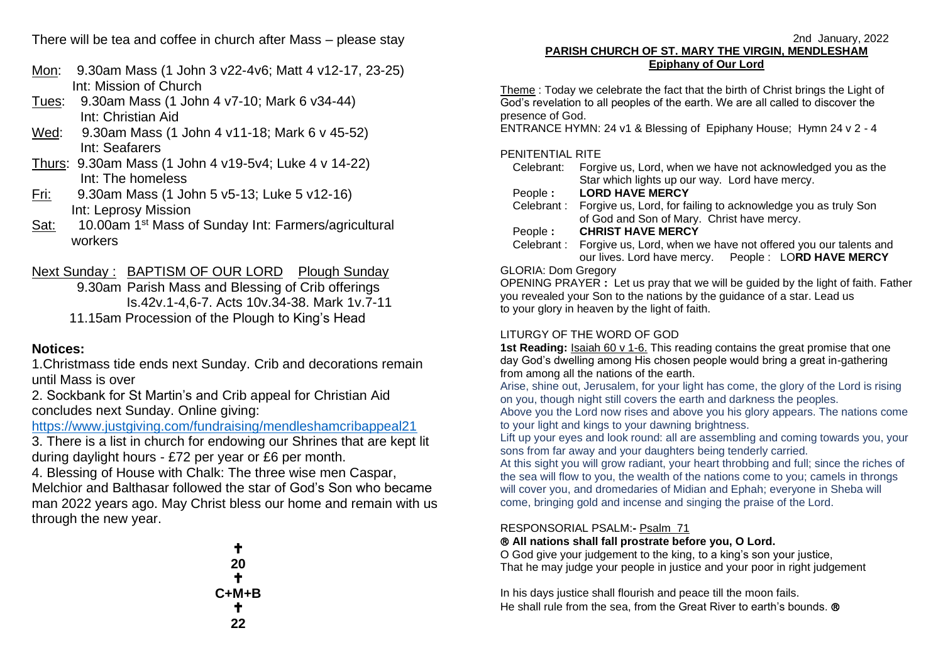There will be tea and coffee in church after Mass – please stay

- Mon: 9.30am Mass (1 John 3 v22-4v6; Matt 4 v12-17, 23-25) Int: Mission of Church
- Tues: 9.30am Mass (1 John 4 v7-10; Mark 6 v34-44) Int: Christian Aid
- Wed: 9.30am Mass (1 John 4 v11-18; Mark 6 v 45-52) Int: Seafarers
- Thurs: 9.30am Mass (1 John 4 v19-5v4; Luke 4 v 14-22) Int: The homeless
- Fri: 9.30am Mass (1 John 5 v5-13; Luke 5 v12-16) Int: Leprosy Mission
- Sat: 10.00am 1st Mass of Sunday Int: Farmers/agricultural workers

Next Sunday : BAPTISM OF OUR LORD Plough Sunday

 9.30am Parish Mass and Blessing of Crib offerings Is.42v.1-4,6-7. Acts 10v.34-38. Mark 1v.7-11 11.15am Procession of the Plough to King's Head

## **Notices:**

1.Christmass tide ends next Sunday. Crib and decorations remain until Mass is over

2. Sockbank for St Martin's and Crib appeal for Christian Aid concludes next Sunday. Online giving:

<https://www.justgiving.com/fundraising/mendleshamcribappeal21>

3. There is a list in church for endowing our Shrines that are kept lit during daylight hours - £72 per year or £6 per month.

4. Blessing of House with Chalk: The three wise men Caspar, Melchior and Balthasar followed the star of God's Son who became man 2022 years ago. May Christ bless our home and remain with us through the new year.

| ÷     |
|-------|
| 20    |
| ÷     |
| C+M+B |
| ÷     |
| 22    |

#### 2nd January, 2022 **PARISH CHURCH OF ST. MARY THE VIRGIN, MENDLESHAM Epiphany of Our Lord**

Theme : Today we celebrate the fact that the birth of Christ brings the Light of God's revelation to all peoples of the earth. We are all called to discover the presence of God.

ENTRANCE HYMN: 24 v1 & Blessing of Epiphany House; Hymn 24 v 2 - 4

### PENITENTIAL RITE

| Celebrant:                 | Forgive us, Lord, when we have not acknowledged you as the                |  |  |  |
|----------------------------|---------------------------------------------------------------------------|--|--|--|
|                            | Star which lights up our way. Lord have mercy.                            |  |  |  |
| People :                   | <b>LORD HAVE MERCY</b>                                                    |  |  |  |
| Celebrant:                 | Forgive us, Lord, for failing to acknowledge you as truly Son             |  |  |  |
|                            | of God and Son of Mary. Christ have mercy.                                |  |  |  |
| People:                    | <b>CHRIST HAVE MERCY</b>                                                  |  |  |  |
|                            | Celebrant: Forgive us, Lord, when we have not offered you our talents and |  |  |  |
|                            | our lives. Lord have mercy.  People: LORD HAVE MERCY                      |  |  |  |
| <b>GLORIA: Dom Gregory</b> |                                                                           |  |  |  |
|                            |                                                                           |  |  |  |

### OPENING PRAYER **:** Let us pray that we will be guided by the light of faith. Father you revealed your Son to the nations by the guidance of a star. Lead us to your glory in heaven by the light of faith.

# LITURGY OF THE WORD OF GOD

**1st Reading:** Isaiah 60 v 1-6. This reading contains the great promise that one day God's dwelling among His chosen people would bring a great in-gathering from among all the nations of the earth.

Arise, shine out, Jerusalem, for your light has come, the glory of the Lord is rising on you, though night still covers the earth and darkness the peoples.

Above you the Lord now rises and above you his glory appears. The nations come to your light and kings to your dawning brightness.

Lift up your eyes and look round: all are assembling and coming towards you, your sons from far away and your daughters being tenderly carried.

At this sight you will grow radiant, your heart throbbing and full; since the riches of the sea will flow to you, the wealth of the nations come to you; camels in throngs will cover you, and dromedaries of Midian and Ephah; everyone in Sheba will come, bringing gold and incense and singing the praise of the Lord.

## RESPONSORIAL PSALM:**-** Psalm 71

## **All nations shall fall prostrate before you, O Lord.**

O God give your judgement to the king, to a king's son your justice, That he may judge your people in justice and your poor in right judgement

In his days justice shall flourish and peace till the moon fails. He shall rule from the sea, from the Great River to earth's bounds. ®